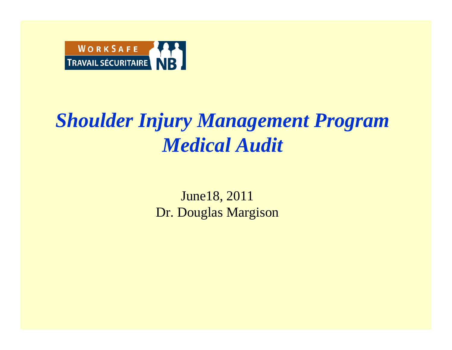

### *Shoulder Injury Management Program Medical Audit*

June18, 2011 Dr. Douglas Margison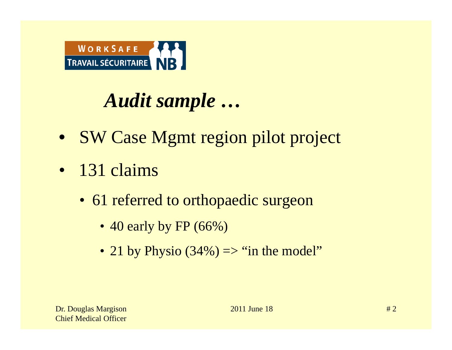

# *Audit sample …*

- SW Case Mgmt region pilot project
- 131 claims
	- 61 referred to orthopaedic surgeon
		- 40 early by FP (66%)
		- 21 by Physio  $(34\%) \Rightarrow$  "in the model"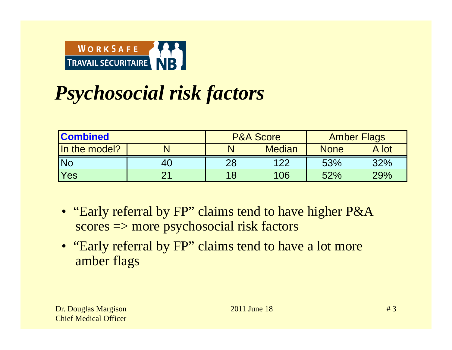

# *Psychosocial risk factors*

| <b>Combined</b> |    |    | <b>P&amp;A Score</b> | <b>Amber Flags</b> |       |
|-----------------|----|----|----------------------|--------------------|-------|
| In the model?   |    |    | <b>Median</b>        | <b>None</b>        | A lot |
| <b>INo</b>      | 40 | 28 | 122                  | 53%                | 32%   |
| <b>Yes</b>      | つ1 |    | 106                  | 52%                | 29%   |

- "Early referral by FP" claims tend to have higher P&A scores => more psychosocial risk factors
- "Early referral by FP" claims tend to have a lot more amber flags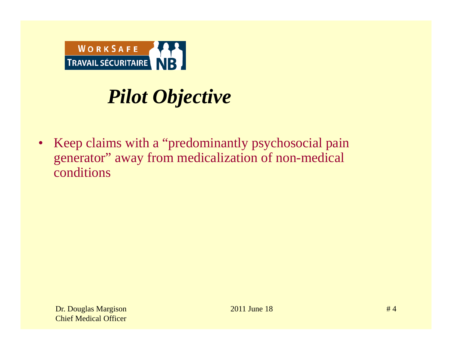

# *Pilot Objective*

• Keep claims with a "predominantly psychosocial pain generator" away from medicalization of non-medical conditions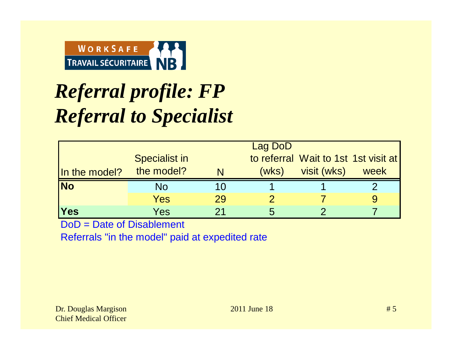

# *Referral profile: FP Referral to Specialist*

|               | Lag DoD              |    |       |                                      |      |
|---------------|----------------------|----|-------|--------------------------------------|------|
|               | <b>Specialist in</b> |    |       | to referral Wait to 1st 1st visit at |      |
| In the model? | the model?           |    | (wks) | visit (wks)                          | week |
| <b>No</b>     | No                   |    |       |                                      |      |
|               | Yes                  | 29 |       |                                      |      |
| <b>Yes</b>    | Yes                  |    | 5     |                                      |      |

DoD = Date of Disablement

Referrals "in the model" paid at expedited rate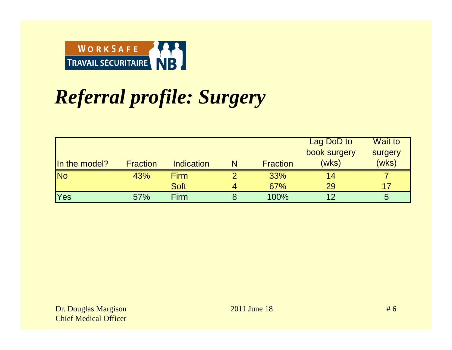

# *Referral profile: Surgery*

|                      |                 |             |   |                 | Lag DoD to   | <b>Wait to</b> |
|----------------------|-----------------|-------------|---|-----------------|--------------|----------------|
|                      |                 |             |   |                 | book surgery | surgery        |
| <b>In the model?</b> | <b>Fraction</b> | Indication  | N | <b>Fraction</b> | (wks)        | (wks)          |
| <b>No</b>            | 43%             | <b>Firm</b> |   | 33%             | 14           |                |
|                      |                 | <b>Soft</b> | 4 | 67%             | 29           | 17             |
| <b>Yes</b>           | 57%             | <b>Firm</b> |   | 100%            | 12           | 5              |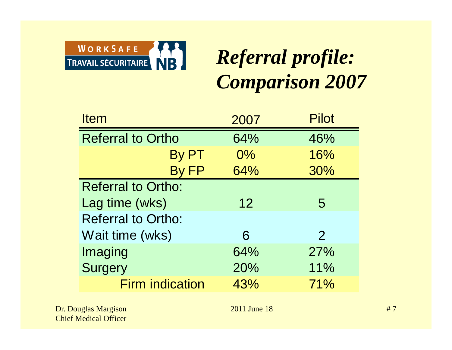

# *Referral profile: Comparison 2007*

| <b>Item</b>               | 2007            | <b>Pilot</b>   |
|---------------------------|-----------------|----------------|
| <b>Referral to Ortho</b>  | 64%             | 46%            |
| By PT                     | 0%              | 16%            |
| By FP                     | 64%             | 30%            |
| <b>Referral to Ortho:</b> |                 |                |
| Lag time (wks)            | 12 <sub>2</sub> | 5              |
| <b>Referral to Ortho:</b> |                 |                |
| Wait time (wks)           | 6               | $\overline{2}$ |
| Imaging                   | 64%             | 27%            |
| <b>Surgery</b>            | 20%             | 11%            |
| <b>Firm indication</b>    | 43%             | 71%            |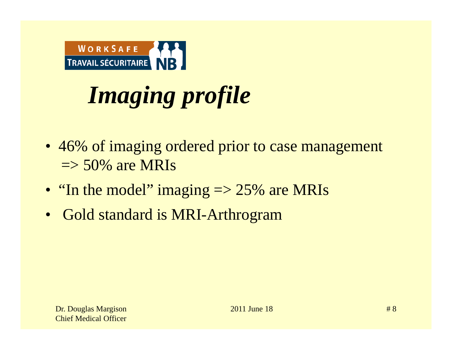

# *Imaging profile*

- 46% of imaging ordered prior to case management  $\Rightarrow$  50% are MRIs
- "In the model" imaging  $\Rightarrow$  25% are MRIs
- Gold standard is MRI-Arthrogram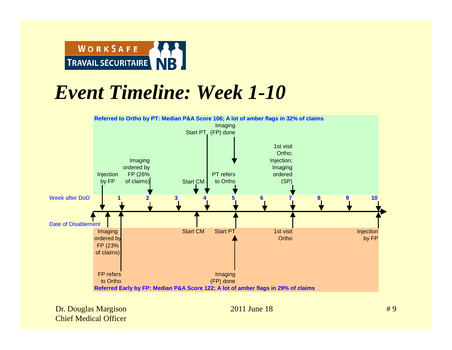

### *Event Timeline: Week 1-10*

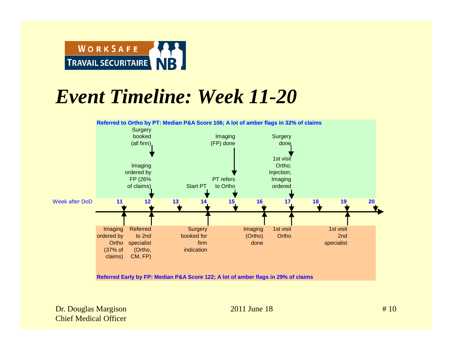

### *Event Timeline: Week 11-20*



**Referred Early by FP: Median P&A Score 122; A lot of amber flags in 29% of claims**

Dr. Douglas Margison 2011 June 18 Chief Medical Officer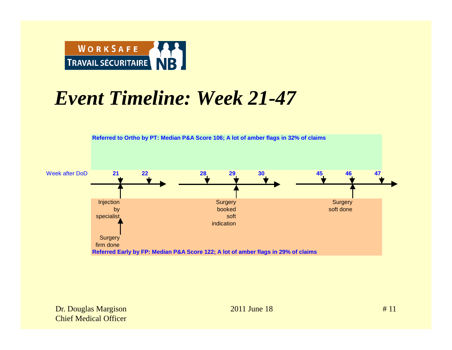

### *Event Timeline: Week 21-47*